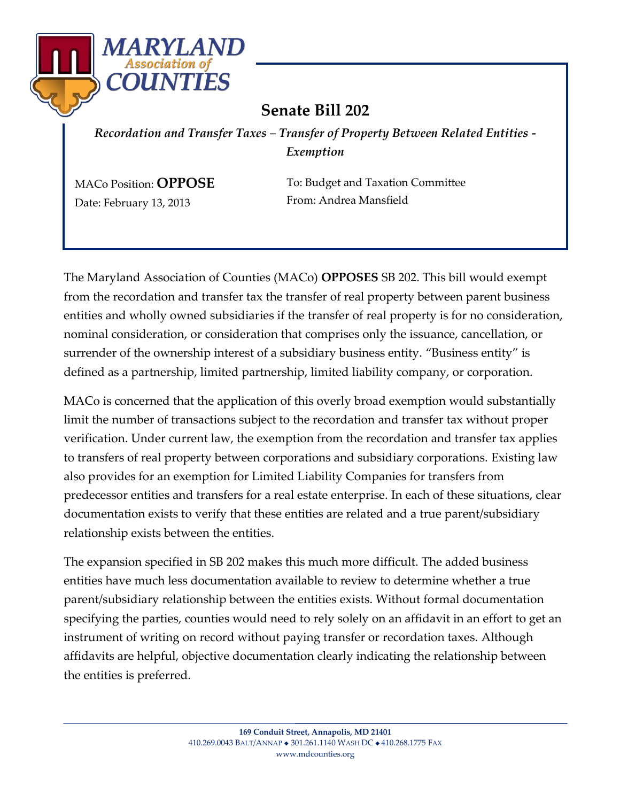

## **Senate Bill 202**

*Recordation and Transfer Taxes – Transfer of Property Between Related Entities - Exemption* 

MACo Position: **OPPOSE**  Date: February 13, 2013

To: Budget and Taxation Committee From: Andrea Mansfield

The Maryland Association of Counties (MACo) **OPPOSES** SB 202. This bill would exempt from the recordation and transfer tax the transfer of real property between parent business entities and wholly owned subsidiaries if the transfer of real property is for no consideration, nominal consideration, or consideration that comprises only the issuance, cancellation, or surrender of the ownership interest of a subsidiary business entity. "Business entity" is defined as a partnership, limited partnership, limited liability company, or corporation.

MACo is concerned that the application of this overly broad exemption would substantially limit the number of transactions subject to the recordation and transfer tax without proper verification. Under current law, the exemption from the recordation and transfer tax applies to transfers of real property between corporations and subsidiary corporations. Existing law also provides for an exemption for Limited Liability Companies for transfers from predecessor entities and transfers for a real estate enterprise. In each of these situations, clear documentation exists to verify that these entities are related and a true parent/subsidiary relationship exists between the entities.

The expansion specified in SB 202 makes this much more difficult. The added business entities have much less documentation available to review to determine whether a true parent/subsidiary relationship between the entities exists. Without formal documentation specifying the parties, counties would need to rely solely on an affidavit in an effort to get an instrument of writing on record without paying transfer or recordation taxes. Although affidavits are helpful, objective documentation clearly indicating the relationship between the entities is preferred.